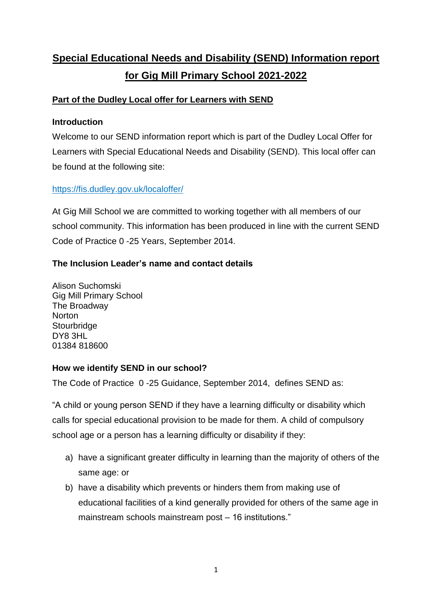# **Special Educational Needs and Disability (SEND) Information report for Gig Mill Primary School 2021-2022**

# **Part of the Dudley Local offer for Learners with SEND**

## **Introduction**

Welcome to our SEND information report which is part of the Dudley Local Offer for Learners with Special Educational Needs and Disability (SEND). This local offer can be found at the following site:

# <https://fis.dudley.gov.uk/localoffer/>

At Gig Mill School we are committed to working together with all members of our school community. This information has been produced in line with the current SEND Code of Practice 0 -25 Years, September 2014.

# **The Inclusion Leader's name and contact details**

Alison Suchomski Gig Mill Primary School The Broadway **Norton Stourbridge** DY8 3HL 01384 818600

## **How we identify SEND in our school?**

The Code of Practice 0 -25 Guidance, September 2014, defines SEND as:

"A child or young person SEND if they have a learning difficulty or disability which calls for special educational provision to be made for them. A child of compulsory school age or a person has a learning difficulty or disability if they:

- a) have a significant greater difficulty in learning than the majority of others of the same age: or
- b) have a disability which prevents or hinders them from making use of educational facilities of a kind generally provided for others of the same age in mainstream schools mainstream post – 16 institutions."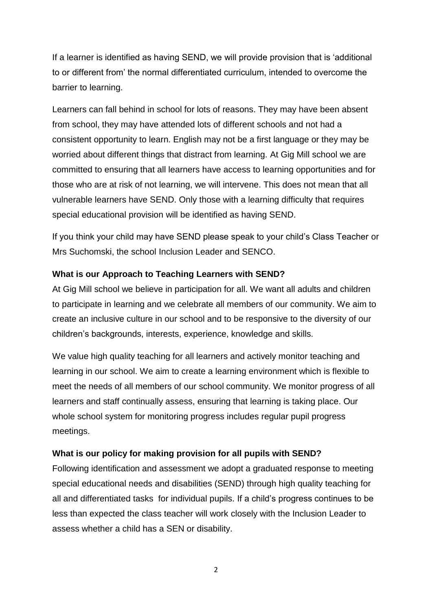If a learner is identified as having SEND, we will provide provision that is 'additional to or different from' the normal differentiated curriculum, intended to overcome the barrier to learning.

Learners can fall behind in school for lots of reasons. They may have been absent from school, they may have attended lots of different schools and not had a consistent opportunity to learn. English may not be a first language or they may be worried about different things that distract from learning. At Gig Mill school we are committed to ensuring that all learners have access to learning opportunities and for those who are at risk of not learning, we will intervene. This does not mean that all vulnerable learners have SEND. Only those with a learning difficulty that requires special educational provision will be identified as having SEND.

If you think your child may have SEND please speak to your child's Class Teacher or Mrs Suchomski, the school Inclusion Leader and SENCO.

#### **What is our Approach to Teaching Learners with SEND?**

At Gig Mill school we believe in participation for all. We want all adults and children to participate in learning and we celebrate all members of our community. We aim to create an inclusive culture in our school and to be responsive to the diversity of our children's backgrounds, interests, experience, knowledge and skills.

We value high quality teaching for all learners and actively monitor teaching and learning in our school. We aim to create a learning environment which is flexible to meet the needs of all members of our school community. We monitor progress of all learners and staff continually assess, ensuring that learning is taking place. Our whole school system for monitoring progress includes regular pupil progress meetings.

#### **What is our policy for making provision for all pupils with SEND?**

Following identification and assessment we adopt a graduated response to meeting special educational needs and disabilities (SEND) through high quality teaching for all and differentiated tasks for individual pupils. If a child's progress continues to be less than expected the class teacher will work closely with the Inclusion Leader to assess whether a child has a SEN or disability.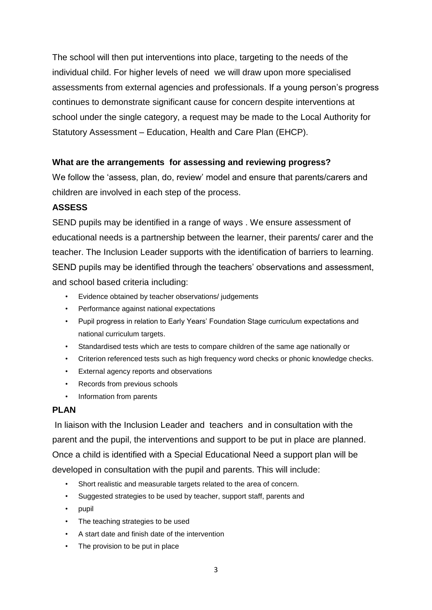The school will then put interventions into place, targeting to the needs of the individual child. For higher levels of need we will draw upon more specialised assessments from external agencies and professionals. If a young person's progress continues to demonstrate significant cause for concern despite interventions at school under the single category, a request may be made to the Local Authority for Statutory Assessment – Education, Health and Care Plan (EHCP).

#### **What are the arrangements for assessing and reviewing progress?**

We follow the 'assess, plan, do, review' model and ensure that parents/carers and children are involved in each step of the process.

## **ASSESS**

SEND pupils may be identified in a range of ways . We ensure assessment of educational needs is a partnership between the learner, their parents/ carer and the teacher. The Inclusion Leader supports with the identification of barriers to learning. SEND pupils may be identified through the teachers' observations and assessment, and school based criteria including:

- Evidence obtained by teacher observations/ judgements
- Performance against national expectations
- Pupil progress in relation to Early Years' Foundation Stage curriculum expectations and national curriculum targets.
- Standardised tests which are tests to compare children of the same age nationally or
- Criterion referenced tests such as high frequency word checks or phonic knowledge checks.
- External agency reports and observations
- Records from previous schools
- Information from parents

## **PLAN**

In liaison with the Inclusion Leader and teachers and in consultation with the parent and the pupil, the interventions and support to be put in place are planned. Once a child is identified with a Special Educational Need a support plan will be developed in consultation with the pupil and parents. This will include:

- Short realistic and measurable targets related to the area of concern.
- Suggested strategies to be used by teacher, support staff, parents and
- pupil
- The teaching strategies to be used
- A start date and finish date of the intervention
- The provision to be put in place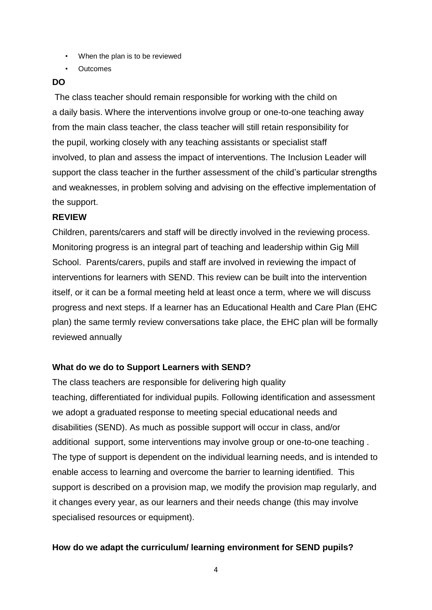- When the plan is to be reviewed
- Outcomes

#### **DO**

The class teacher should remain responsible for working with the child on a daily basis. Where the interventions involve group or one-to-one teaching away from the main class teacher, the class teacher will still retain responsibility for the pupil, working closely with any teaching assistants or specialist staff involved, to plan and assess the impact of interventions. The Inclusion Leader will support the class teacher in the further assessment of the child's particular strengths and weaknesses, in problem solving and advising on the effective implementation of the support.

#### **REVIEW**

Children, parents/carers and staff will be directly involved in the reviewing process. Monitoring progress is an integral part of teaching and leadership within Gig Mill School. Parents/carers, pupils and staff are involved in reviewing the impact of interventions for learners with SEND. This review can be built into the intervention itself, or it can be a formal meeting held at least once a term, where we will discuss progress and next steps. If a learner has an Educational Health and Care Plan (EHC plan) the same termly review conversations take place, the EHC plan will be formally reviewed annually

#### **What do we do to Support Learners with SEND?**

The class teachers are responsible for delivering high quality teaching, differentiated for individual pupils. Following identification and assessment we adopt a graduated response to meeting special educational needs and disabilities (SEND). As much as possible support will occur in class, and/or additional support, some interventions may involve group or one-to-one teaching . The type of support is dependent on the individual learning needs, and is intended to enable access to learning and overcome the barrier to learning identified. This support is described on a provision map, we modify the provision map regularly, and it changes every year, as our learners and their needs change (this may involve specialised resources or equipment).

#### **How do we adapt the curriculum/ learning environment for SEND pupils?**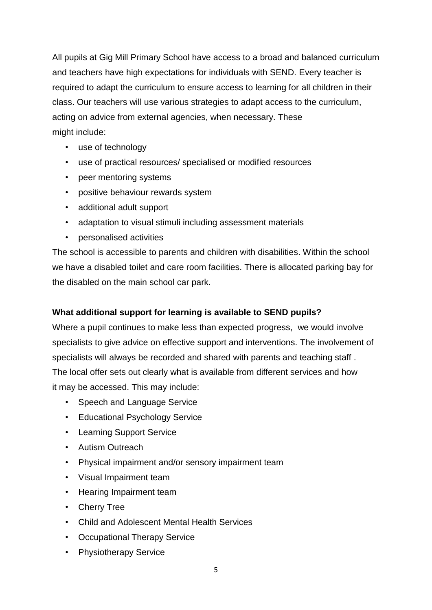All pupils at Gig Mill Primary School have access to a broad and balanced curriculum and teachers have high expectations for individuals with SEND. Every teacher is required to adapt the curriculum to ensure access to learning for all children in their class. Our teachers will use various strategies to adapt access to the curriculum, acting on advice from external agencies, when necessary. These might include:

- use of technology
- use of practical resources/ specialised or modified resources
- peer mentoring systems
- positive behaviour rewards system
- additional adult support
- adaptation to visual stimuli including assessment materials
- personalised activities

The school is accessible to parents and children with disabilities. Within the school we have a disabled toilet and care room facilities. There is allocated parking bay for the disabled on the main school car park.

## **What additional support for learning is available to SEND pupils?**

Where a pupil continues to make less than expected progress, we would involve specialists to give advice on effective support and interventions. The involvement of specialists will always be recorded and shared with parents and teaching staff . The local offer sets out clearly what is available from different services and how it may be accessed. This may include:

- Speech and Language Service
- Educational Psychology Service
- Learning Support Service
- Autism Outreach
- Physical impairment and/or sensory impairment team
- Visual Impairment team
- Hearing Impairment team
- Cherry Tree
- Child and Adolescent Mental Health Services
- Occupational Therapy Service
- Physiotherapy Service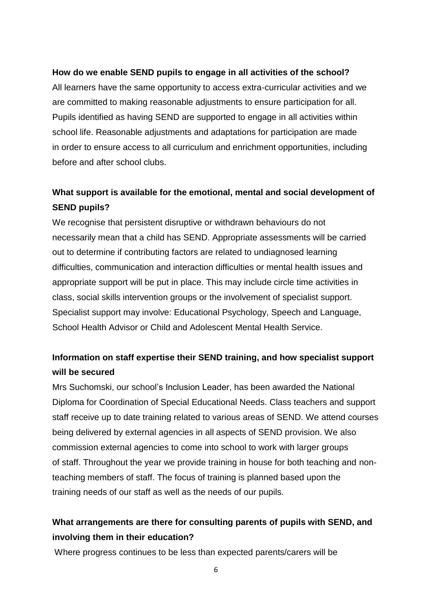#### **How do we enable SEND pupils to engage in all activities of the school?**

All learners have the same opportunity to access extra-curricular activities and we are committed to making reasonable adjustments to ensure participation for all. Pupils identified as having SEND are supported to engage in all activities within school life. Reasonable adjustments and adaptations for participation are made in order to ensure access to all curriculum and enrichment opportunities, including before and after school clubs.

# **What support is available for the emotional, mental and social development of SEND pupils?**

We recognise that persistent disruptive or withdrawn behaviours do not necessarily mean that a child has SEND. Appropriate assessments will be carried out to determine if contributing factors are related to undiagnosed learning difficulties, communication and interaction difficulties or mental health issues and appropriate support will be put in place. This may include circle time activities in class, social skills intervention groups or the involvement of specialist support. Specialist support may involve: Educational Psychology, Speech and Language, School Health Advisor or Child and Adolescent Mental Health Service.

# **Information on staff expertise their SEND training, and how specialist support will be secured**

Mrs Suchomski, our school's Inclusion Leader, has been awarded the National Diploma for Coordination of Special Educational Needs. Class teachers and support staff receive up to date training related to various areas of SEND. We attend courses being delivered by external agencies in all aspects of SEND provision. We also commission external agencies to come into school to work with larger groups of staff. Throughout the year we provide training in house for both teaching and nonteaching members of staff. The focus of training is planned based upon the training needs of our staff as well as the needs of our pupils.

# **What arrangements are there for consulting parents of pupils with SEND, and involving them in their education?**

Where progress continues to be less than expected parents/carers will be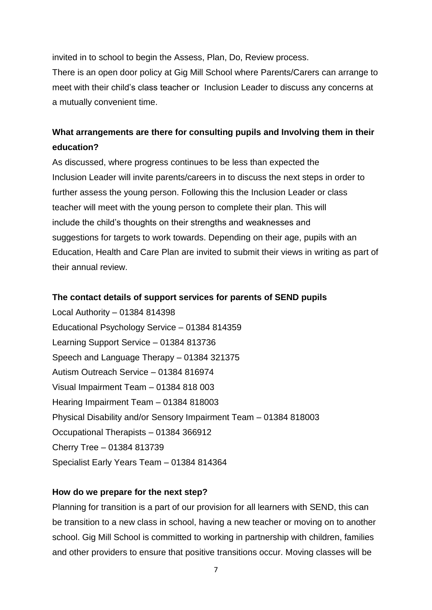invited in to school to begin the Assess, Plan, Do, Review process.

There is an open door policy at Gig Mill School where Parents/Carers can arrange to meet with their child's class teacher or Inclusion Leader to discuss any concerns at a mutually convenient time.

# **What arrangements are there for consulting pupils and Involving them in their education?**

As discussed, where progress continues to be less than expected the Inclusion Leader will invite parents/careers in to discuss the next steps in order to further assess the young person. Following this the Inclusion Leader or class teacher will meet with the young person to complete their plan. This will include the child's thoughts on their strengths and weaknesses and suggestions for targets to work towards. Depending on their age, pupils with an Education, Health and Care Plan are invited to submit their views in writing as part of their annual review.

#### **The contact details of support services for parents of SEND pupils**

Local Authority – 01384 814398 Educational Psychology Service – 01384 814359 Learning Support Service – 01384 813736 Speech and Language Therapy – 01384 321375 Autism Outreach Service – 01384 816974 Visual Impairment Team – 01384 818 003 Hearing Impairment Team – 01384 818003 Physical Disability and/or Sensory Impairment Team – 01384 818003 Occupational Therapists – 01384 366912 Cherry Tree – 01384 813739 Specialist Early Years Team – 01384 814364

#### **How do we prepare for the next step?**

Planning for transition is a part of our provision for all learners with SEND, this can be transition to a new class in school, having a new teacher or moving on to another school. Gig Mill School is committed to working in partnership with children, families and other providers to ensure that positive transitions occur. Moving classes will be